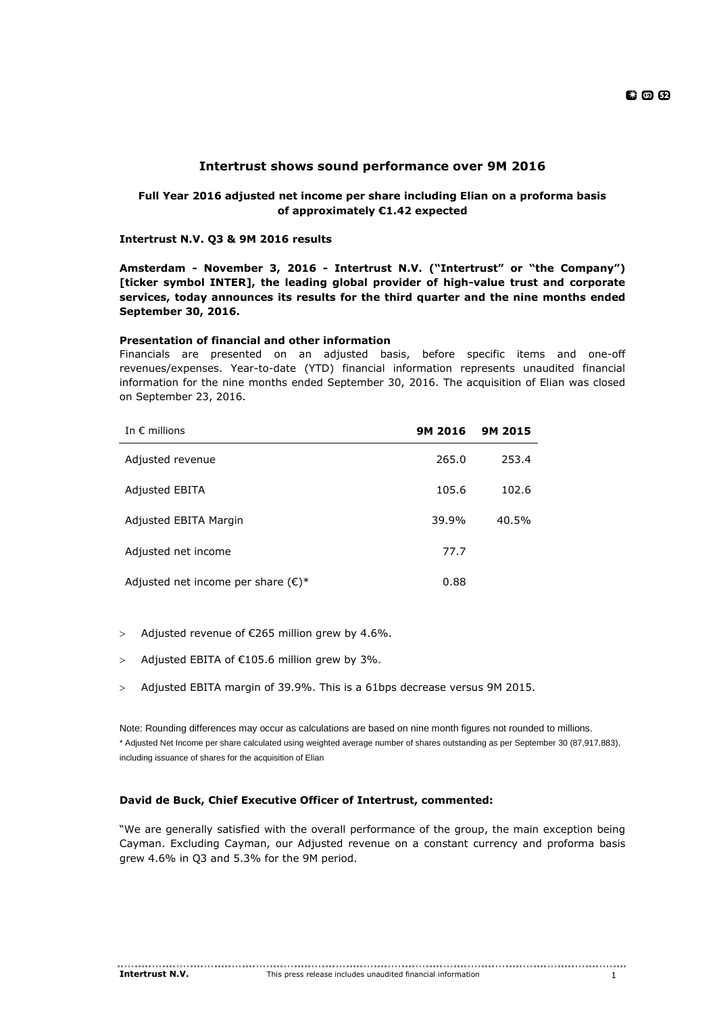# **Intertrust shows sound performance over 9M 2016**

# **Full Year 2016 adjusted net income per share including Elian on a proforma basis of approximately €1.42 expected**

**Intertrust N.V. Q3 & 9M 2016 results** 

**Amsterdam - November 3, 2016 - Intertrust N.V. ("Intertrust" or "the Company") [ticker symbol INTER], the leading global provider of high-value trust and corporate services, today announces its results for the third quarter and the nine months ended September 30, 2016.** 

# **Presentation of financial and other information**

Financials are presented on an adjusted basis, before specific items and one-off revenues/expenses. Year-to-date (YTD) financial information represents unaudited financial information for the nine months ended September 30, 2016. The acquisition of Elian was closed on September 23, 2016.

| In $\epsilon$ millions                       | 9M 2016 | 9M 2015 |
|----------------------------------------------|---------|---------|
| Adjusted revenue                             | 265.0   | 253.4   |
| Adjusted EBITA                               | 105.6   | 102.6   |
| Adjusted EBITA Margin                        | 39.9%   | 40.5%   |
| Adjusted net income                          | 77.7    |         |
| Adjusted net income per share $(\epsilon)^*$ | 0.88    |         |

- $>$  Adjusted revenue of  $E$ 265 million grew by 4.6%.
- > Adjusted EBITA of  $£105.6$  million grew by 3%.
- Adjusted EBITA margin of 39.9%. This is a 61bps decrease versus 9M 2015.

Note: Rounding differences may occur as calculations are based on nine month figures not rounded to millions. \* Adjusted Net Income per share calculated using weighted average number of shares outstanding as per September 30 (87,917,883), including issuance of shares for the acquisition of Elian

# **David de Buck, Chief Executive Officer of Intertrust, commented:**

"We are generally satisfied with the overall performance of the group, the main exception being Cayman. Excluding Cayman, our Adjusted revenue on a constant currency and proforma basis grew 4.6% in Q3 and 5.3% for the 9M period.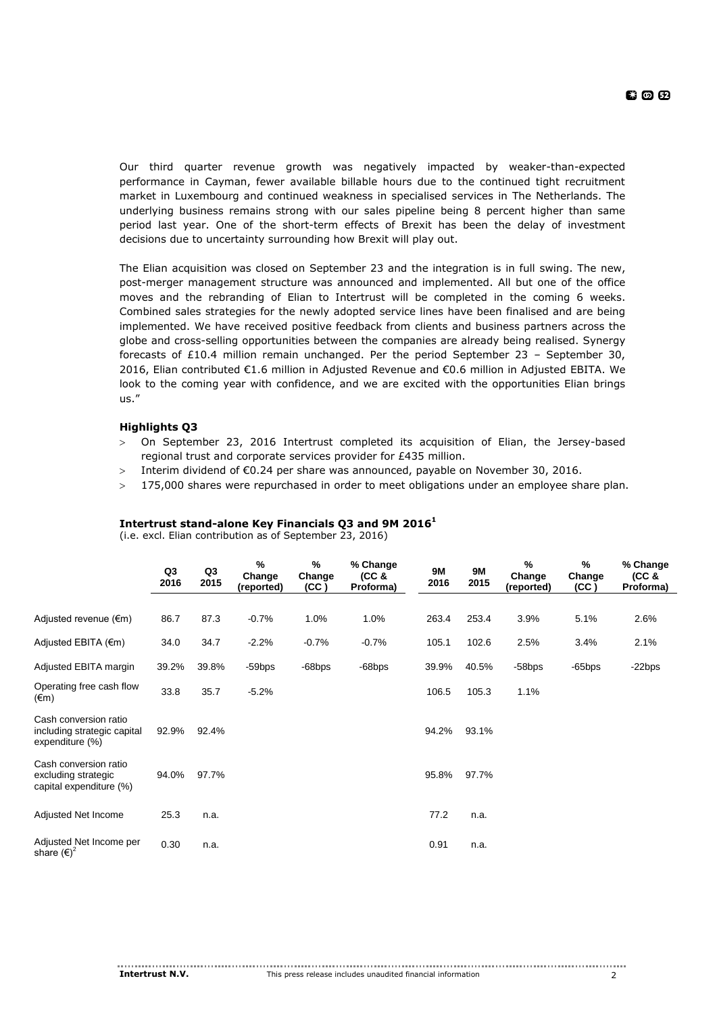Our third quarter revenue growth was negatively impacted by weaker-than-expected performance in Cayman, fewer available billable hours due to the continued tight recruitment market in Luxembourg and continued weakness in specialised services in The Netherlands. The underlying business remains strong with our sales pipeline being 8 percent higher than same period last year. One of the short-term effects of Brexit has been the delay of investment decisions due to uncertainty surrounding how Brexit will play out.

The Elian acquisition was closed on September 23 and the integration is in full swing. The new, post-merger management structure was announced and implemented. All but one of the office moves and the rebranding of Elian to Intertrust will be completed in the coming 6 weeks. Combined sales strategies for the newly adopted service lines have been finalised and are being implemented. We have received positive feedback from clients and business partners across the globe and cross-selling opportunities between the companies are already being realised. Synergy forecasts of £10.4 million remain unchanged. Per the period September 23 – September 30, 2016, Elian contributed €1.6 million in Adjusted Revenue and €0.6 million in Adjusted EBITA. We look to the coming year with confidence, and we are excited with the opportunities Elian brings us."

# **Highlights Q3**

- On September 23, 2016 Intertrust completed its acquisition of Elian, the Jersey-based regional trust and corporate services provider for £435 million.
- > Interim dividend of  $\epsilon$ 0.24 per share was announced, payable on November 30, 2016.
- 175,000 shares were repurchased in order to meet obligations under an employee share plan.

(i.e. excl. Elian contribution as of September 23, 2016)

|                                                                         | Q3<br>2016 | Q3<br>2015 | %<br>Change<br>(reported) | %<br>Change<br>(CC) | % Change<br>(CC <sub>8</sub> )<br>Proforma) | 9M<br>2016 | <b>9M</b><br>2015 | %<br>Change<br>(reported) | %<br>Change<br>(CC) | % Change<br>(CC <sub>8</sub> )<br>Proforma) |
|-------------------------------------------------------------------------|------------|------------|---------------------------|---------------------|---------------------------------------------|------------|-------------------|---------------------------|---------------------|---------------------------------------------|
|                                                                         |            |            |                           |                     |                                             |            |                   |                           |                     |                                             |
| Adjusted revenue $(\epsilon m)$                                         | 86.7       | 87.3       | $-0.7%$                   | 1.0%                | 1.0%                                        | 263.4      | 253.4             | 3.9%                      | 5.1%                | 2.6%                                        |
| Adjusted EBITA (€m)                                                     | 34.0       | 34.7       | $-2.2%$                   | $-0.7%$             | $-0.7%$                                     | 105.1      | 102.6             | 2.5%                      | 3.4%                | 2.1%                                        |
| Adjusted EBITA margin                                                   | 39.2%      | 39.8%      | $-59$ bps                 | -68bps              | -68bps                                      | 39.9%      | 40.5%             | $-58$ bps                 | $-65$ bps           | $-22bps$                                    |
| Operating free cash flow<br>$(\epsilon m)$                              | 33.8       | 35.7       | $-5.2%$                   |                     |                                             | 106.5      | 105.3             | 1.1%                      |                     |                                             |
| Cash conversion ratio<br>including strategic capital<br>expenditure (%) | 92.9%      | 92.4%      |                           |                     |                                             | 94.2%      | 93.1%             |                           |                     |                                             |
| Cash conversion ratio<br>excluding strategic<br>capital expenditure (%) | 94.0%      | 97.7%      |                           |                     |                                             | 95.8%      | 97.7%             |                           |                     |                                             |
| Adjusted Net Income                                                     | 25.3       | n.a.       |                           |                     |                                             | 77.2       | n.a.              |                           |                     |                                             |
| Adjusted Net Income per<br>share $(\epsilon)^2$                         | 0.30       | n.a.       |                           |                     |                                             | 0.91       | n.a.              |                           |                     |                                             |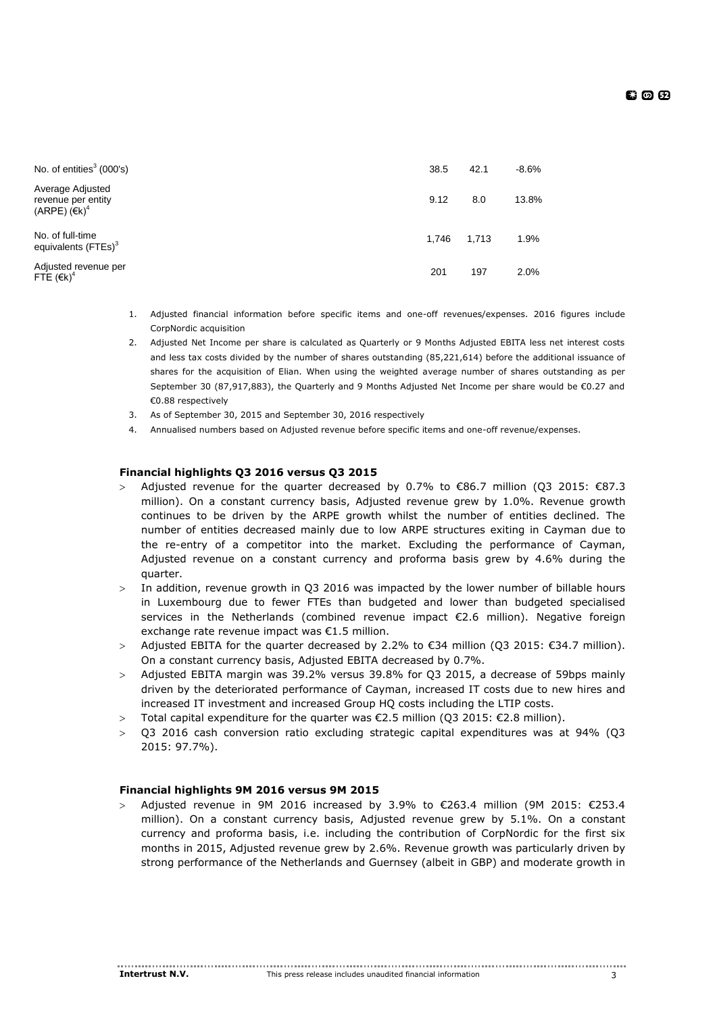| No. of entities $3(000's)$                                                 | 38.5  | 42.1  | $-8.6%$ |
|----------------------------------------------------------------------------|-------|-------|---------|
| Average Adjusted<br>revenue per entity<br>$(ARPE)$ ( $\in$ k) <sup>4</sup> | 9.12  | 8.0   | 13.8%   |
| No. of full-time<br>equivalents (FTEs) <sup>3</sup>                        | 1.746 | 1,713 | 1.9%    |
| Adjusted revenue per<br>FTE $(Ek)^4$                                       | 201   | 197   | 2.0%    |

- 1. Adjusted financial information before specific items and one-off revenues/expenses. 2016 figures include CorpNordic acquisition
- 2. Adjusted Net Income per share is calculated as Quarterly or 9 Months Adjusted EBITA less net interest costs and less tax costs divided by the number of shares outstanding (85,221,614) before the additional issuance of shares for the acquisition of Elian. When using the weighted average number of shares outstanding as per September 30 (87,917,883), the Quarterly and 9 Months Adjusted Net Income per share would be €0.27 and €0.88 respectively
- 3. As of September 30, 2015 and September 30, 2016 respectively
- 4. Annualised numbers based on Adjusted revenue before specific items and one-off revenue/expenses.

# **Financial highlights Q3 2016 versus Q3 2015**

- Adjusted revenue for the quarter decreased by 0.7% to  $\epsilon$ 86.7 million (O3 2015:  $\epsilon$ 87.3 million). On a constant currency basis, Adjusted revenue grew by 1.0%. Revenue growth continues to be driven by the ARPE growth whilst the number of entities declined. The number of entities decreased mainly due to low ARPE structures exiting in Cayman due to the re-entry of a competitor into the market. Excluding the performance of Cayman, Adjusted revenue on a constant currency and proforma basis grew by 4.6% during the quarter.
- In addition, revenue growth in Q3 2016 was impacted by the lower number of billable hours in Luxembourg due to fewer FTEs than budgeted and lower than budgeted specialised services in the Netherlands (combined revenue impact €2.6 million). Negative foreign exchange rate revenue impact was €1.5 million.
- > Adjusted EBITA for the quarter decreased by 2.2% to €34 million (O3 2015: €34.7 million). On a constant currency basis, Adjusted EBITA decreased by 0.7%.
- Adjusted EBITA margin was 39.2% versus 39.8% for Q3 2015, a decrease of 59bps mainly driven by the deteriorated performance of Cayman, increased IT costs due to new hires and increased IT investment and increased Group HQ costs including the LTIP costs.
- > Total capital expenditure for the quarter was €2.5 million (Q3 2015: €2.8 million).
- $>$  03 2016 cash conversion ratio excluding strategic capital expenditures was at 94% (03 2015: 97.7%).

# **Financial highlights 9M 2016 versus 9M 2015**

> Adjusted revenue in 9M 2016 increased by 3.9% to €263.4 million (9M 2015: €253.4 million). On a constant currency basis, Adjusted revenue grew by 5.1%. On a constant currency and proforma basis, i.e. including the contribution of CorpNordic for the first six months in 2015, Adjusted revenue grew by 2.6%. Revenue growth was particularly driven by strong performance of the Netherlands and Guernsey (albeit in GBP) and moderate growth in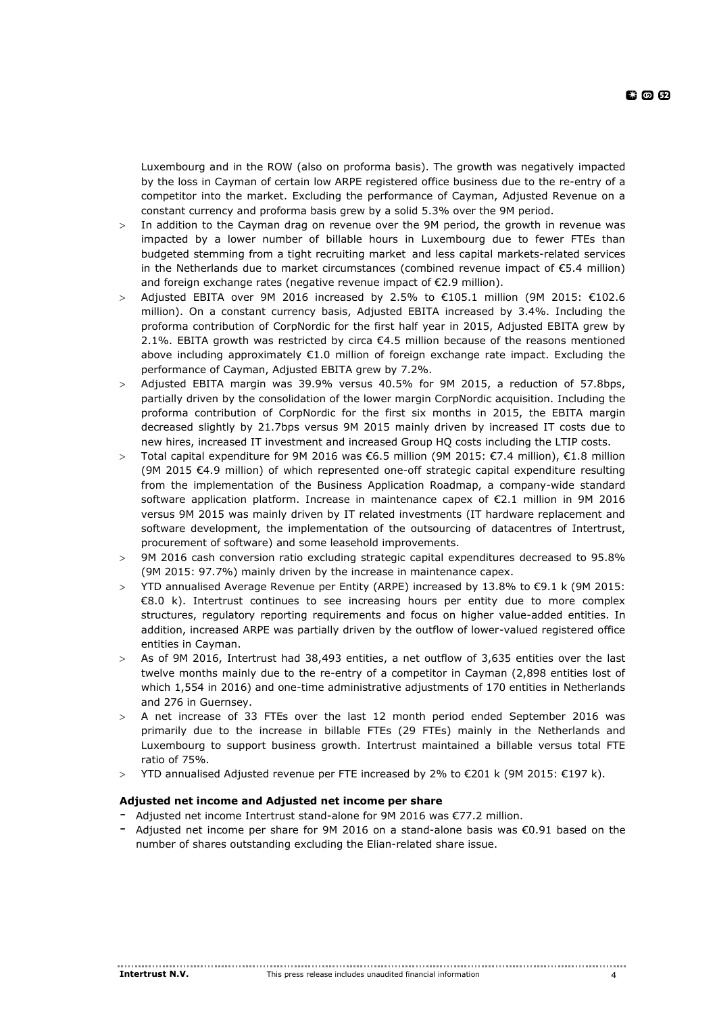Luxembourg and in the ROW (also on proforma basis). The growth was negatively impacted by the loss in Cayman of certain low ARPE registered office business due to the re-entry of a competitor into the market. Excluding the performance of Cayman, Adjusted Revenue on a constant currency and proforma basis grew by a solid 5.3% over the 9M period.

- In addition to the Cayman drag on revenue over the 9M period, the growth in revenue was impacted by a lower number of billable hours in Luxembourg due to fewer FTEs than budgeted stemming from a tight recruiting market and less capital markets-related services in the Netherlands due to market circumstances (combined revenue impact of €5.4 million) and foreign exchange rates (negative revenue impact of €2.9 million).
- > Adjusted EBITA over 9M 2016 increased by 2.5% to €105.1 million (9M 2015: €102.6 million). On a constant currency basis, Adjusted EBITA increased by 3.4%. Including the proforma contribution of CorpNordic for the first half year in 2015, Adjusted EBITA grew by 2.1%. EBITA growth was restricted by circa  $\epsilon$ 4.5 million because of the reasons mentioned above including approximately €1.0 million of foreign exchange rate impact. Excluding the performance of Cayman, Adjusted EBITA grew by 7.2%.
- Adjusted EBITA margin was 39.9% versus 40.5% for 9M 2015, a reduction of 57.8bps, partially driven by the consolidation of the lower margin CorpNordic acquisition. Including the proforma contribution of CorpNordic for the first six months in 2015, the EBITA margin decreased slightly by 21.7bps versus 9M 2015 mainly driven by increased IT costs due to new hires, increased IT investment and increased Group HQ costs including the LTIP costs.
- > Total capital expenditure for 9M 2016 was €6.5 million (9M 2015: €7.4 million), €1.8 million (9M 2015 €4.9 million) of which represented one-off strategic capital expenditure resulting from the implementation of the Business Application Roadmap, a company-wide standard software application platform. Increase in maintenance capex of €2.1 million in 9M 2016 versus 9M 2015 was mainly driven by IT related investments (IT hardware replacement and software development, the implementation of the outsourcing of datacentres of Intertrust, procurement of software) and some leasehold improvements.
- 9M 2016 cash conversion ratio excluding strategic capital expenditures decreased to 95.8% (9M 2015: 97.7%) mainly driven by the increase in maintenance capex.
- > YTD annualised Average Revenue per Entity (ARPE) increased by  $13.8\%$  to €9.1 k (9M 2015: €8.0 k). Intertrust continues to see increasing hours per entity due to more complex structures, regulatory reporting requirements and focus on higher value-added entities. In addition, increased ARPE was partially driven by the outflow of lower-valued registered office entities in Cayman.
- As of 9M 2016, Intertrust had 38,493 entities, a net outflow of 3,635 entities over the last twelve months mainly due to the re-entry of a competitor in Cayman (2,898 entities lost of which 1,554 in 2016) and one-time administrative adjustments of 170 entities in Netherlands and 276 in Guernsey.
- A net increase of 33 FTEs over the last 12 month period ended September 2016 was primarily due to the increase in billable FTEs (29 FTEs) mainly in the Netherlands and Luxembourg to support business growth. Intertrust maintained a billable versus total FTE ratio of 75%.
- YTD annualised Adjusted revenue per FTE increased by 2% to €201 k (9M 2015: €197 k).

# **Adjusted net income and Adjusted net income per share**

- Adjusted net income Intertrust stand-alone for 9M 2016 was €77.2 million.
- Adjusted net income per share for 9M 2016 on a stand-alone basis was €0.91 based on the number of shares outstanding excluding the Elian-related share issue.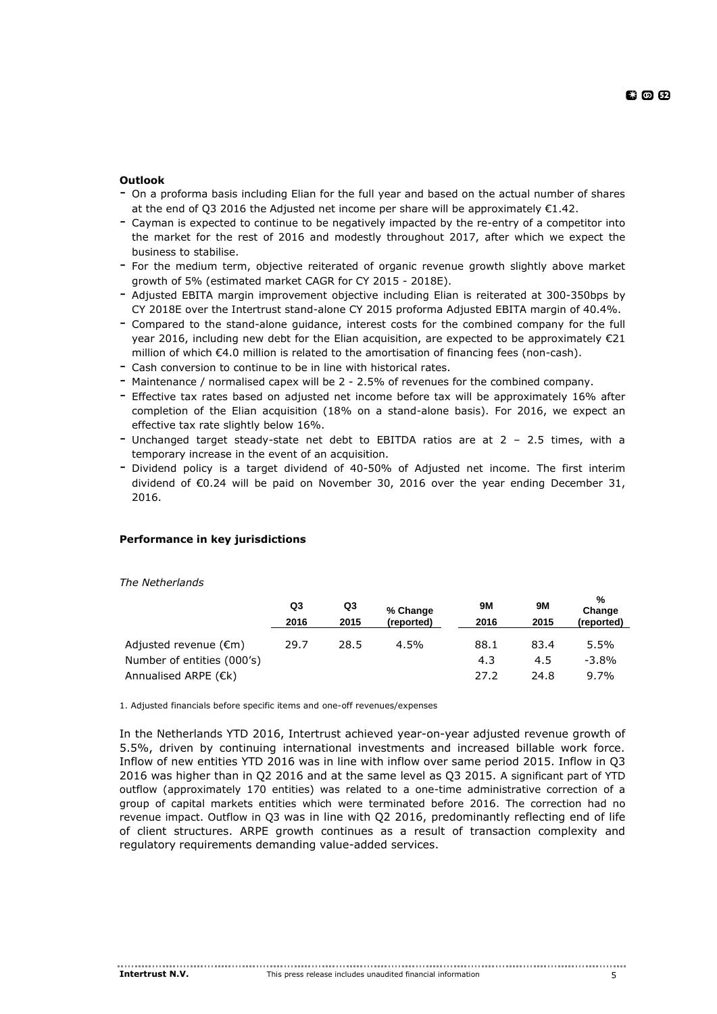- On a proforma basis including Elian for the full year and based on the actual number of shares at the end of Q3 2016 the Adjusted net income per share will be approximately €1.42.
- Cayman is expected to continue to be negatively impacted by the re-entry of a competitor into the market for the rest of 2016 and modestly throughout 2017, after which we expect the business to stabilise.
- For the medium term, objective reiterated of organic revenue growth slightly above market growth of 5% (estimated market CAGR for CY 2015 - 2018E).
- Adjusted EBITA margin improvement objective including Elian is reiterated at 300-350bps by CY 2018E over the Intertrust stand-alone CY 2015 proforma Adjusted EBITA margin of 40.4%.
- Compared to the stand-alone guidance, interest costs for the combined company for the full year 2016, including new debt for the Elian acquisition, are expected to be approximately  $\epsilon$ 21 million of which €4.0 million is related to the amortisation of financing fees (non-cash).
- Cash conversion to continue to be in line with historical rates.
- Maintenance / normalised capex will be 2 2.5% of revenues for the combined company.
- Effective tax rates based on adjusted net income before tax will be approximately 16% after completion of the Elian acquisition (18% on a stand-alone basis). For 2016, we expect an effective tax rate slightly below 16%.
- Unchanged target steady-state net debt to EBITDA ratios are at 2 2.5 times, with a temporary increase in the event of an acquisition.
- Dividend policy is a target dividend of 40-50% of Adjusted net income. The first interim dividend of €0.24 will be paid on November 30, 2016 over the year ending December 31, 2016.

# **Performance in key jurisdictions**

*The Netherlands*

|                                 | Q3<br>2016 | Q3<br>2015 | % Change<br>(reported) | 9M<br>2016 | <b>9M</b><br>2015 | %<br>Change<br>(reported) |
|---------------------------------|------------|------------|------------------------|------------|-------------------|---------------------------|
| Adjusted revenue $(\epsilon m)$ | 29.7       | 28.5       | $4.5\%$                | 88.1       | 83.4              | 5.5%                      |
| Number of entities (000's)      |            |            |                        | 4.3        | 4.5               | $-3.8%$                   |
| Annualised ARPE $(\epsilon k)$  |            |            |                        | 27.2       | 24.8              | 9.7%                      |

1. Adjusted financials before specific items and one-off revenues/expenses

In the Netherlands YTD 2016, Intertrust achieved year-on-year adjusted revenue growth of 5.5%, driven by continuing international investments and increased billable work force. Inflow of new entities YTD 2016 was in line with inflow over same period 2015. Inflow in Q3 2016 was higher than in Q2 2016 and at the same level as Q3 2015. A significant part of YTD outflow (approximately 170 entities) was related to a one-time administrative correction of a group of capital markets entities which were terminated before 2016. The correction had no revenue impact. Outflow in Q3 was in line with Q2 2016, predominantly reflecting end of life of client structures. ARPE growth continues as a result of transaction complexity and regulatory requirements demanding value-added services.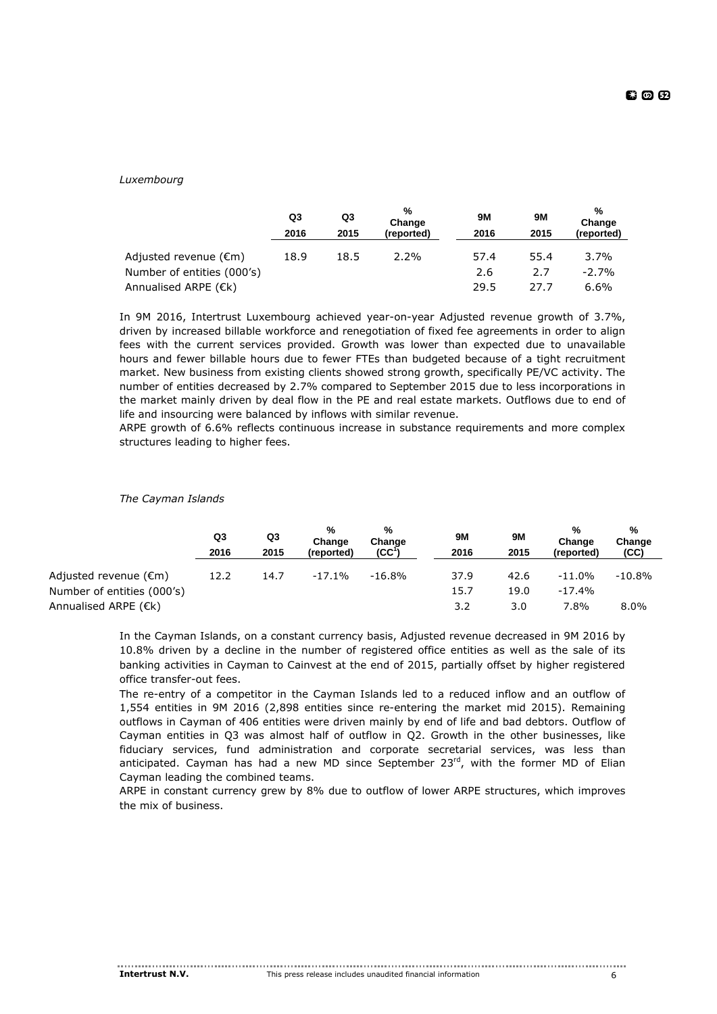# *Luxembourg*

|                            | Q3<br>2016 | Q3<br>2015 | %<br>Change<br>(reported) | <b>9M</b><br>2016 | 9M<br>2015 | %<br>Change<br>(reported) |
|----------------------------|------------|------------|---------------------------|-------------------|------------|---------------------------|
| Adjusted revenue (€m)      | 18.9       | 18.5       | $2.2\%$                   | 57.4              | 55.4       | 3.7%                      |
| Number of entities (000's) |            |            |                           | 2.6               | 2.7        | $-2.7%$                   |
| Annualised ARPE (€k)       |            |            |                           | 29.5              | 27.7       | 6.6%                      |

In 9M 2016, Intertrust Luxembourg achieved year-on-year Adjusted revenue growth of 3.7%, driven by increased billable workforce and renegotiation of fixed fee agreements in order to align fees with the current services provided. Growth was lower than expected due to unavailable hours and fewer billable hours due to fewer FTEs than budgeted because of a tight recruitment market. New business from existing clients showed strong growth, specifically PE/VC activity. The number of entities decreased by 2.7% compared to September 2015 due to less incorporations in the market mainly driven by deal flow in the PE and real estate markets. Outflows due to end of life and insourcing were balanced by inflows with similar revenue.

ARPE growth of 6.6% reflects continuous increase in substance requirements and more complex structures leading to higher fees.

|                                 | Q3   | Q3   | %<br>Change | %<br>Change      | <b>9M</b> | 9M   | %<br>Change | %<br>Change |
|---------------------------------|------|------|-------------|------------------|-----------|------|-------------|-------------|
|                                 | 2016 | 2015 | (reported)  | $(CC^{\dagger})$ | 2016      | 2015 | (reported)  | (CC)        |
| Adjusted revenue $(\epsilon m)$ | 12.2 | 14.7 | $-17.1\%$   | $-16.8%$         | 37.9      | 42.6 | $-11.0%$    | $-10.8\%$   |
| Number of entities (000's)      |      |      |             |                  | 15.7      | 19.0 | $-17.4%$    |             |
| Annualised ARPE $(\epsilon k)$  |      |      |             |                  | 3.2       | 3.0  | 7.8%        | $8.0\%$     |

# *The Cayman Islands*

In the Cayman Islands, on a constant currency basis, Adjusted revenue decreased in 9M 2016 by 10.8% driven by a decline in the number of registered office entities as well as the sale of its banking activities in Cayman to Cainvest at the end of 2015, partially offset by higher registered office transfer-out fees.

The re-entry of a competitor in the Cayman Islands led to a reduced inflow and an outflow of 1,554 entities in 9M 2016 (2,898 entities since re-entering the market mid 2015). Remaining outflows in Cayman of 406 entities were driven mainly by end of life and bad debtors. Outflow of Cayman entities in Q3 was almost half of outflow in Q2. Growth in the other businesses, like fiduciary services, fund administration and corporate secretarial services, was less than anticipated. Cayman has had a new MD since September  $23<sup>rd</sup>$ , with the former MD of Elian Cayman leading the combined teams.

ARPE in constant currency grew by 8% due to outflow of lower ARPE structures, which improves the mix of business.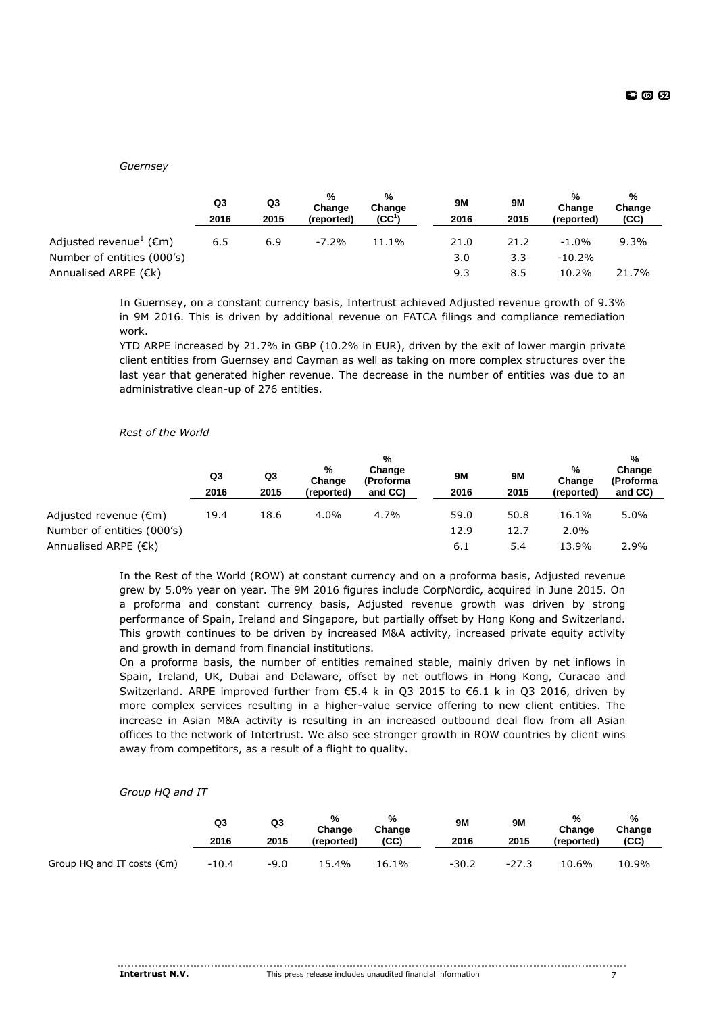*Guernsey*

|                                               | Q3<br>2016 | Q3<br>2015 | %<br>Change<br>(reported) | %<br>Change<br>(CC) | 9M<br>2016 | 9M<br>2015 | %<br>Change<br>(reported) | %<br>Change<br>(CC) |
|-----------------------------------------------|------------|------------|---------------------------|---------------------|------------|------------|---------------------------|---------------------|
| Adjusted revenue <sup>1</sup> ( $\epsilon$ m) | 6.5        | 6.9        | $-7.2\%$                  | 11.1%               | 21.0       | 21.2       | $-1.0\%$                  | $9.3\%$             |
| Number of entities (000's)                    |            |            |                           |                     | 3.0        | 3.3        | $-10.2%$                  |                     |
| Annualised ARPE (€k)                          |            |            |                           |                     | 9.3        | 8.5        | 10.2%                     | 21.7%               |

In Guernsey, on a constant currency basis, Intertrust achieved Adjusted revenue growth of 9.3% in 9M 2016. This is driven by additional revenue on FATCA filings and compliance remediation work.

YTD ARPE increased by 21.7% in GBP (10.2% in EUR), driven by the exit of lower margin private client entities from Guernsey and Cayman as well as taking on more complex structures over the last year that generated higher revenue. The decrease in the number of entities was due to an administrative clean-up of 276 entities.

#### *Rest of the World*

|                                 |      |      | $\frac{0}{0}$ |                     |           |      |             |                                |
|---------------------------------|------|------|---------------|---------------------|-----------|------|-------------|--------------------------------|
|                                 | Q3   | Q3   | %<br>Change   | Change<br>(Proforma | <b>9M</b> | 9M   | %<br>Change | Change<br>(Proforma<br>and CC) |
|                                 | 2016 | 2015 | (reported)    | and CC)             | 2016      | 2015 | (reported)  |                                |
| Adjusted revenue $(\epsilon m)$ | 19.4 | 18.6 | 4.0%          | 4.7%                | 59.0      | 50.8 | 16.1%       | $5.0\%$                        |
| Number of entities (000's)      |      |      |               |                     | 12.9      | 12.7 | 2.0%        |                                |
| Annualised ARPE $(Ek)$          |      |      |               |                     | 6.1       | 5.4  | 13.9%       | 2.9%                           |

In the Rest of the World (ROW) at constant currency and on a proforma basis, Adjusted revenue grew by 5.0% year on year. The 9M 2016 figures include CorpNordic, acquired in June 2015. On a proforma and constant currency basis, Adjusted revenue growth was driven by strong performance of Spain, Ireland and Singapore, but partially offset by Hong Kong and Switzerland. This growth continues to be driven by increased M&A activity, increased private equity activity and growth in demand from financial institutions.

On a proforma basis, the number of entities remained stable, mainly driven by net inflows in Spain, Ireland, UK, Dubai and Delaware, offset by net outflows in Hong Kong, Curacao and Switzerland. ARPE improved further from €5.4 k in Q3 2015 to €6.1 k in Q3 2016, driven by more complex services resulting in a higher-value service offering to new client entities. The increase in Asian M&A activity is resulting in an increased outbound deal flow from all Asian offices to the network of Intertrust. We also see stronger growth in ROW countries by client wins away from competitors, as a result of a flight to quality.

*Group HQ and IT*

|                                      | Q3<br>2016 | Q3<br>2015 | %<br>Change<br>(reported) | %<br>Change<br>(CC) | <b>9M</b><br>2016 | 9Μ<br>2015 | %<br>Change<br>(reported) | %<br>Change<br>(CC) |
|--------------------------------------|------------|------------|---------------------------|---------------------|-------------------|------------|---------------------------|---------------------|
| Group HQ and IT costs $(\epsilon m)$ | $-10.4$    | $-9.0$     | 5.4%                      | 16.1%               | $-30.2$           | $-27.3$    | 10.6%                     | 10.9%               |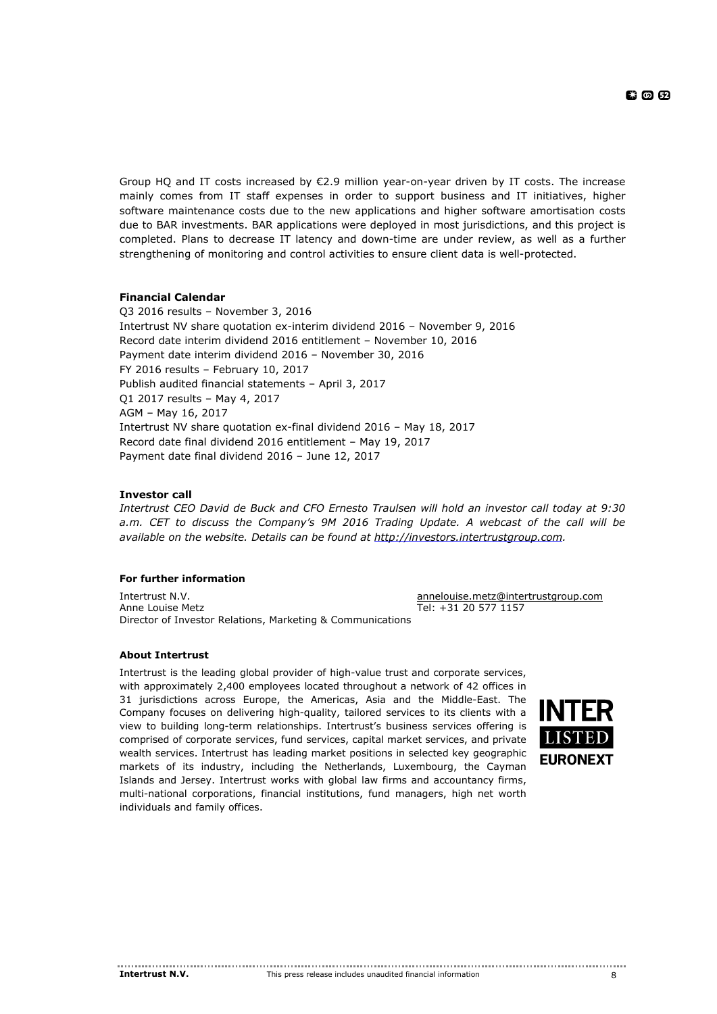Group HO and IT costs increased by  $E$ 2.9 million year-on-year driven by IT costs. The increase mainly comes from IT staff expenses in order to support business and IT initiatives, higher software maintenance costs due to the new applications and higher software amortisation costs due to BAR investments. BAR applications were deployed in most jurisdictions, and this project is completed. Plans to decrease IT latency and down-time are under review, as well as a further strengthening of monitoring and control activities to ensure client data is well-protected.

# **Financial Calendar**

Q3 2016 results – November 3, 2016 Intertrust NV share quotation ex-interim dividend 2016 – November 9, 2016 Record date interim dividend 2016 entitlement – November 10, 2016 Payment date interim dividend 2016 – November 30, 2016 FY 2016 results – February 10, 2017 Publish audited financial statements – April 3, 2017 Q1 2017 results – May 4, 2017 AGM – May 16, 2017 Intertrust NV share quotation ex-final dividend 2016 – May 18, 2017 Record date final dividend 2016 entitlement – May 19, 2017 Payment date final dividend 2016 – June 12, 2017

# **Investor call**

*Intertrust CEO David de Buck and CFO Ernesto Traulsen will hold an investor call today at 9:30 a.m. CET to discuss the Company's 9M 2016 Trading Update. A webcast of the call will be available on the website. Details can be found at [http://investors.intertrustgroup.com.](http://investors.intertrustgroup.com/)*

# **For further information**

Intertrust N.V. **Annual Community Community Community** Entertrust [annelouise.metz@intertrustgroup.com](mailto:annelouise.metz@intertrustgroup.com) Anne Louise Metz **Tel: +31 20 577 1157** Director of Investor Relations, Marketing & Communications

# **About Intertrust**

Intertrust is the leading global provider of high-value trust and corporate services, with approximately 2,400 employees located throughout a network of 42 offices in 31 jurisdictions across Europe, the Americas, Asia and the Middle-East. The Company focuses on delivering high-quality, tailored services to its clients with a view to building long-term relationships. Intertrust's business services offering is comprised of corporate services, fund services, capital market services, and private wealth services. Intertrust has leading market positions in selected key geographic markets of its industry, including the Netherlands, Luxembourg, the Cayman Islands and Jersey. Intertrust works with global law firms and accountancy firms, multi-national corporations, financial institutions, fund managers, high net worth individuals and family offices.

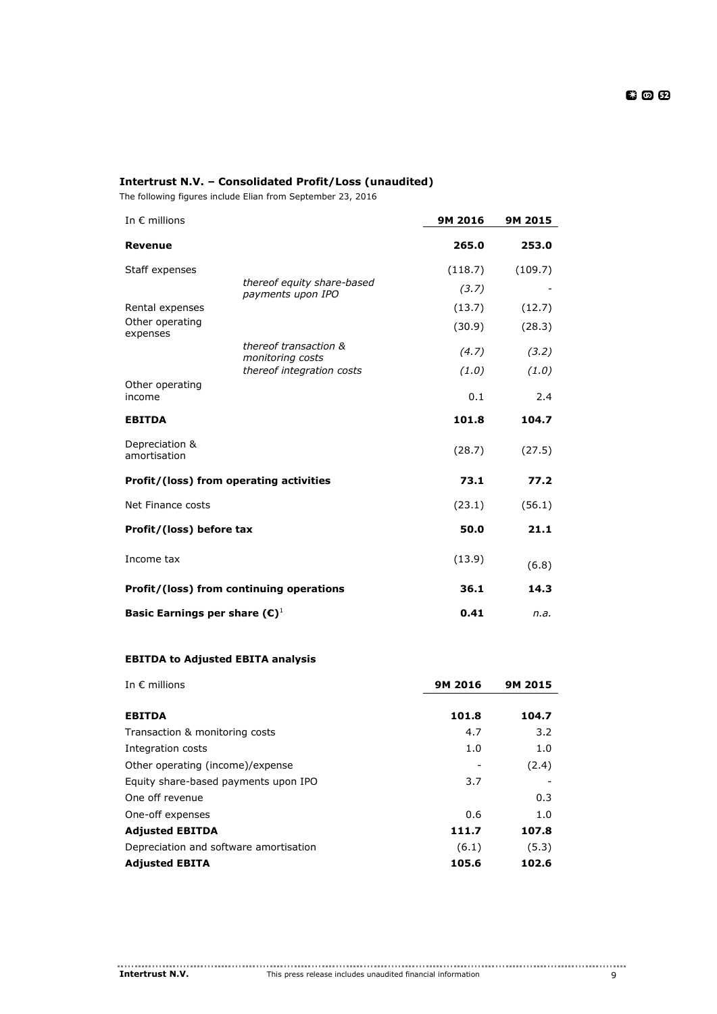# **Intertrust N.V. – Consolidated Profit/Loss (unaudited)**

The following figures include Elian from September 23, 2016

| In $\epsilon$ millions                    |                                                 | 9M 2016 | 9M 2015 |
|-------------------------------------------|-------------------------------------------------|---------|---------|
| <b>Revenue</b>                            |                                                 | 265.0   | 253.0   |
| Staff expenses                            |                                                 | (118.7) | (109.7) |
|                                           | thereof equity share-based<br>payments upon IPO | (3.7)   |         |
| Rental expenses                           |                                                 | (13.7)  | (12.7)  |
| Other operating<br>expenses               |                                                 | (30.9)  | (28.3)  |
|                                           | thereof transaction &<br>monitoring costs       | (4.7)   | (3.2)   |
|                                           | thereof integration costs                       | (1.0)   | (1.0)   |
| Other operating<br>income                 |                                                 | 0.1     | 2.4     |
| <b>EBITDA</b>                             |                                                 | 101.8   | 104.7   |
| Depreciation &<br>amortisation            |                                                 | (28.7)  | (27.5)  |
|                                           | Profit/(loss) from operating activities         | 73.1    | 77.2    |
| Net Finance costs                         |                                                 | (23.1)  | (56.1)  |
| Profit/(loss) before tax                  |                                                 | 50.0    | 21.1    |
| Income tax                                |                                                 | (13.9)  | (6.8)   |
|                                           | Profit/(loss) from continuing operations        | 36.1    | 14.3    |
| Basic Earnings per share $(\mathbb{C})^1$ |                                                 | 0.41    | n.a.    |

# **EBITDA to Adjusted EBITA analysis**

| In $\epsilon$ millions                 | 9M 2016 | 9M 2015 |
|----------------------------------------|---------|---------|
| <b>EBITDA</b>                          | 101.8   | 104.7   |
| Transaction & monitoring costs         | 4.7     | 3.2     |
| Integration costs                      | 1.0     | 1.0     |
| Other operating (income)/expense       |         | (2.4)   |
| Equity share-based payments upon IPO   | 3.7     |         |
| One off revenue                        |         | 0.3     |
| One-off expenses                       | 0.6     | 1.0     |
| <b>Adjusted EBITDA</b>                 | 111.7   | 107.8   |
| Depreciation and software amortisation | (6.1)   | (5.3)   |
| <b>Adjusted EBITA</b>                  | 105.6   | 102.6   |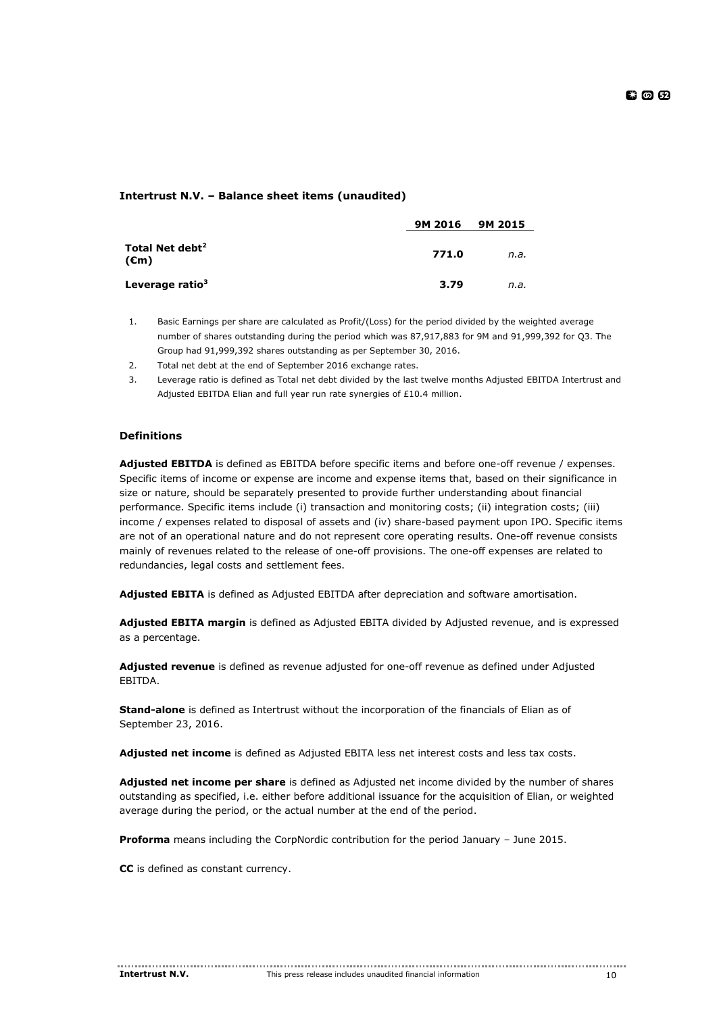# **Intertrust N.V. – Balance sheet items (unaudited)**

|                                               | 9M 2016 | 9M 2015 |
|-----------------------------------------------|---------|---------|
| Total Net debt <sup>2</sup><br>$(\epsilon m)$ | 771.0   | n.a.    |
| Leverage ratio <sup>3</sup>                   | 3.79    | n.a.    |

- 1. Basic Earnings per share are calculated as Profit/(Loss) for the period divided by the weighted average number of shares outstanding during the period which was 87,917,883 for 9M and 91,999,392 for Q3. The Group had 91,999,392 shares outstanding as per September 30, 2016.
- 2. Total net debt at the end of September 2016 exchange rates.
- 3. Leverage ratio is defined as Total net debt divided by the last twelve months Adjusted EBITDA Intertrust and Adjusted EBITDA Elian and full year run rate synergies of £10.4 million.

# **Definitions**

**Adjusted EBITDA** is defined as EBITDA before specific items and before one-off revenue / expenses. Specific items of income or expense are income and expense items that, based on their significance in size or nature, should be separately presented to provide further understanding about financial performance. Specific items include (i) transaction and monitoring costs; (ii) integration costs; (iii) income / expenses related to disposal of assets and (iv) share-based payment upon IPO. Specific items are not of an operational nature and do not represent core operating results. One-off revenue consists mainly of revenues related to the release of one-off provisions. The one-off expenses are related to redundancies, legal costs and settlement fees.

**Adjusted EBITA** is defined as Adjusted EBITDA after depreciation and software amortisation.

**Adjusted EBITA margin** is defined as Adjusted EBITA divided by Adjusted revenue, and is expressed as a percentage.

**Adjusted revenue** is defined as revenue adjusted for one-off revenue as defined under Adjusted EBITDA.

**Stand-alone** is defined as Intertrust without the incorporation of the financials of Elian as of September 23, 2016.

**Adjusted net income** is defined as Adjusted EBITA less net interest costs and less tax costs.

**Adjusted net income per share** is defined as Adjusted net income divided by the number of shares outstanding as specified, i.e. either before additional issuance for the acquisition of Elian, or weighted average during the period, or the actual number at the end of the period.

**Proforma** means including the CorpNordic contribution for the period January – June 2015.

**CC** is defined as constant currency.